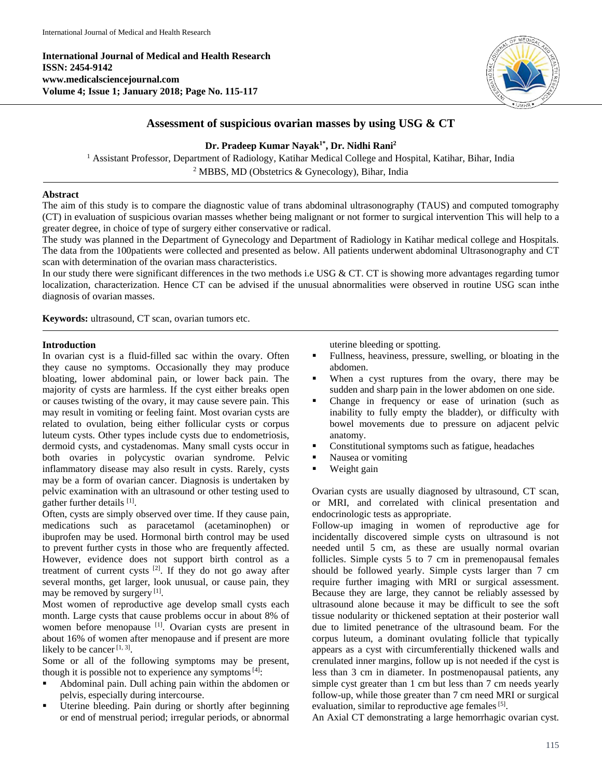**International Journal of Medical and Health Research ISSN: 2454-9142 www.medicalsciencejournal.com Volume 4; Issue 1; January 2018; Page No. 115-117**



# **Assessment of suspicious ovarian masses by using USG & CT**

## **Dr. Pradeep Kumar Nayak 1\* , Dr. Nidhi Rani<sup>2</sup>**

<sup>1</sup> Assistant Professor, Department of Radiology, Katihar Medical College and Hospital, Katihar, Bihar, India <sup>2</sup> MBBS, MD (Obstetrics  $&$  Gynecology), Bihar, India

#### **Abstract**

The aim of this study is to compare the diagnostic value of trans abdominal ultrasonography (TAUS) and computed tomography (CT) in evaluation of suspicious ovarian masses whether being malignant or not former to surgical intervention This will help to a greater degree, in choice of type of surgery either conservative or radical.

The study was planned in the Department of Gynecology and Department of Radiology in Katihar medical college and Hospitals. The data from the 100patients were collected and presented as below. All patients underwent abdominal Ultrasonography and CT scan with determination of the ovarian mass characteristics.

In our study there were significant differences in the two methods i.e USG & CT. CT is showing more advantages regarding tumor localization, characterization. Hence CT can be advised if the unusual abnormalities were observed in routine USG scan inthe diagnosis of ovarian masses.

**Keywords:** ultrasound, CT scan, ovarian tumors etc.

#### **Introduction**

In ovarian cyst is a fluid-filled sac within the ovary. Often they cause no symptoms. Occasionally they may produce bloating, lower abdominal pain, or lower back pain. The majority of cysts are harmless. If the cyst either breaks open or causes twisting of the ovary, it may cause severe pain. This may result in vomiting or feeling faint. Most ovarian cysts are related to ovulation, being either follicular cysts or corpus luteum cysts. Other types include cysts due to endometriosis, dermoid cysts, and cystadenomas. Many small cysts occur in both ovaries in polycystic ovarian syndrome. Pelvic inflammatory disease may also result in cysts. Rarely, cysts may be a form of ovarian cancer. Diagnosis is undertaken by pelvic examination with an ultrasound or other testing used to gather further details [1].

Often, cysts are simply observed over time. If they cause pain, medications such as paracetamol (acetaminophen) or ibuprofen may be used. Hormonal birth control may be used to prevent further cysts in those who are frequently affected. However, evidence does not support birth control as a treatment of current cysts  $[2]$ . If they do not go away after several months, get larger, look unusual, or cause pain, they may be removed by surgery<sup>[1]</sup>.

Most women of reproductive age develop small cysts each month. Large cysts that cause problems occur in about 8% of women before menopause <sup>[1]</sup>. Ovarian cysts are present in about 16% of women after menopause and if present are more likely to be cancer  $[1, 3]$ .

Some or all of the following symptoms may be present, though it is possible not to experience any symptoms  $[4]$ :

- Abdominal pain. Dull aching pain within the abdomen or pelvis, especially during intercourse.
- Uterine bleeding. Pain during or shortly after beginning or end of menstrual period; irregular periods, or abnormal

uterine bleeding or spotting.

- Fullness, heaviness, pressure, swelling, or bloating in the abdomen.
- When a cyst ruptures from the ovary, there may be sudden and sharp pain in the lower abdomen on one side.
- Change in frequency or ease of urination (such as inability to fully empty the bladder), or difficulty with bowel movements due to pressure on adjacent pelvic anatomy.
- **Constitutional symptoms such as fatigue, headaches**
- Nausea or vomiting
- Weight gain

Ovarian cysts are usually diagnosed by ultrasound, CT scan, or MRI, and correlated with clinical presentation and endocrinologic tests as appropriate.

Follow-up imaging in women of reproductive age for incidentally discovered simple cysts on ultrasound is not needed until 5 cm, as these are usually normal ovarian follicles. Simple cysts 5 to 7 cm in premenopausal females should be followed yearly. Simple cysts larger than 7 cm require further imaging with MRI or surgical assessment. Because they are large, they cannot be reliably assessed by ultrasound alone because it may be difficult to see the soft tissue nodularity or thickened septation at their posterior wall due to limited penetrance of the ultrasound beam. For the corpus luteum, a dominant ovulating follicle that typically appears as a cyst with circumferentially thickened walls and crenulated inner margins, follow up is not needed if the cyst is less than 3 cm in diameter. In postmenopausal patients, any simple cyst greater than 1 cm but less than 7 cm needs yearly follow-up, while those greater than 7 cm need MRI or surgical evaluation, similar to reproductive age females<sup>[5]</sup>.

An Axial CT demonstrating a large hemorrhagic ovarian cyst.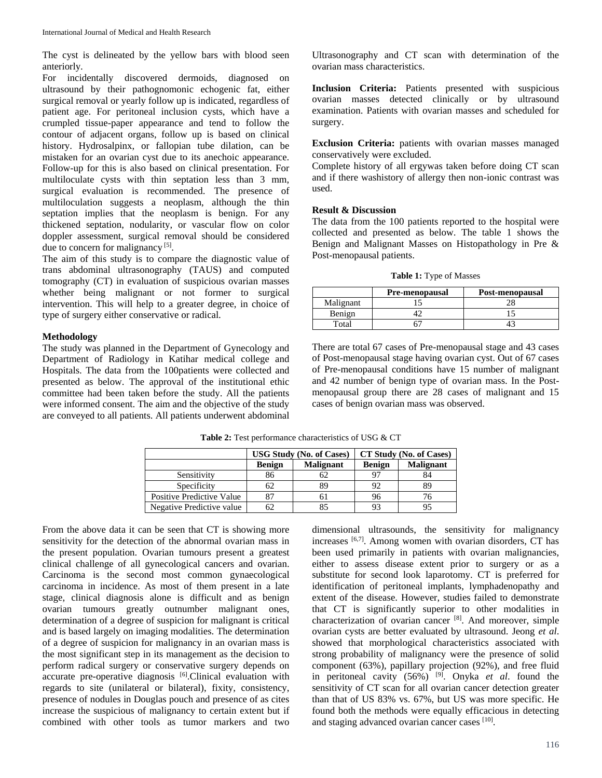The cyst is delineated by the yellow bars with blood seen anteriorly.

For incidentally discovered dermoids, diagnosed on ultrasound by their pathognomonic echogenic fat, either surgical removal or yearly follow up is indicated, regardless of patient age. For peritoneal inclusion cysts, which have a crumpled tissue-paper appearance and tend to follow the contour of adjacent organs, follow up is based on clinical history. Hydrosalpinx, or fallopian tube dilation, can be mistaken for an ovarian cyst due to its anechoic appearance. Follow-up for this is also based on clinical presentation. For multiloculate cysts with thin septation less than 3 mm, surgical evaluation is recommended. The presence of multiloculation suggests a neoplasm, although the thin septation implies that the neoplasm is benign. For any thickened septation, nodularity, or vascular flow on color doppler assessment, surgical removal should be considered due to concern for malignancy<sup>[5]</sup>.

The aim of this study is to compare the diagnostic value of trans abdominal ultrasonography (TAUS) and computed tomography (CT) in evaluation of suspicious ovarian masses whether being malignant or not former to surgical intervention. This will help to a greater degree, in choice of type of surgery either conservative or radical.

#### **Methodology**

The study was planned in the Department of Gynecology and Department of Radiology in Katihar medical college and Hospitals. The data from the 100patients were collected and presented as below. The approval of the institutional ethic committee had been taken before the study. All the patients were informed consent. The aim and the objective of the study are conveyed to all patients. All patients underwent abdominal

Ultrasonography and CT scan with determination of the ovarian mass characteristics.

**Inclusion Criteria:** Patients presented with suspicious ovarian masses detected clinically or by ultrasound examination. Patients with ovarian masses and scheduled for surgery.

**Exclusion Criteria:** patients with ovarian masses managed conservatively were excluded.

Complete history of all ergywas taken before doing CT scan and if there washistory of allergy then non-ionic contrast was used.

#### **Result & Discussion**

The data from the 100 patients reported to the hospital were collected and presented as below. The table 1 shows the Benign and Malignant Masses on Histopathology in Pre & Post-menopausal patients.

**Table 1:** Type of Masses

|           | <b>Pre-menopausal</b> | Post-menopausal |  |
|-----------|-----------------------|-----------------|--|
| Malignant |                       |                 |  |
| Benign    |                       |                 |  |
| Total     |                       |                 |  |

There are total 67 cases of Pre-menopausal stage and 43 cases of Post-menopausal stage having ovarian cyst. Out of 67 cases of Pre-menopausal conditions have 15 number of malignant and 42 number of benign type of ovarian mass. In the Postmenopausal group there are 28 cases of malignant and 15 cases of benign ovarian mass was observed.

|                                  | <b>USG Study (No. of Cases)</b> |                  | CT Study (No. of Cases) |                  |
|----------------------------------|---------------------------------|------------------|-------------------------|------------------|
|                                  | <b>Benign</b>                   | <b>Malignant</b> | <b>Benign</b>           | <b>Malignant</b> |
| Sensitivity                      | 86                              | 62               |                         |                  |
| Specificity                      |                                 | 89               | 92                      |                  |
| <b>Positive Predictive Value</b> |                                 | n i              | 96                      |                  |
| Negative Predictive value        |                                 |                  | 93                      |                  |

**Table 2:** Test performance characteristics of USG & CT

From the above data it can be seen that CT is showing more sensitivity for the detection of the abnormal ovarian mass in the present population. Ovarian tumours present a greatest clinical challenge of all gynecological cancers and ovarian. Carcinoma is the second most common gynaecological carcinoma in incidence. As most of them present in a late stage, clinical diagnosis alone is difficult and as benign ovarian tumours greatly outnumber malignant ones, determination of a degree of suspicion for malignant is critical and is based largely on imaging modalities. The determination of a degree of suspicion for malignancy in an ovarian mass is the most significant step in its management as the decision to perform radical surgery or conservative surgery depends on accurate pre-operative diagnosis [6].Clinical evaluation with regards to site (unilateral or bilateral), fixity, consistency, presence of nodules in Douglas pouch and presence of as cites increase the suspicious of malignancy to certain extent but if combined with other tools as tumor markers and two

dimensional ultrasounds, the sensitivity for malignancy increases [6,7]. Among women with ovarian disorders, CT has been used primarily in patients with ovarian malignancies, either to assess disease extent prior to surgery or as a substitute for second look laparotomy. CT is preferred for identification of peritoneal implants, lymphadenopathy and extent of the disease. However, studies failed to demonstrate that CT is significantly superior to other modalities in characterization of ovarian cancer [8]. And moreover, simple ovarian cysts are better evaluated by ultrasound. Jeong *et al*. showed that morphological characteristics associated with strong probability of malignancy were the presence of solid component (63%), papillary projection (92%), and free fluid in peritoneal cavity (56%) [9] . Onyka *et al*. found the sensitivity of CT scan for all ovarian cancer detection greater than that of US 83% vs. 67%, but US was more specific. He found both the methods were equally efficacious in detecting and staging advanced ovarian cancer cases [10].